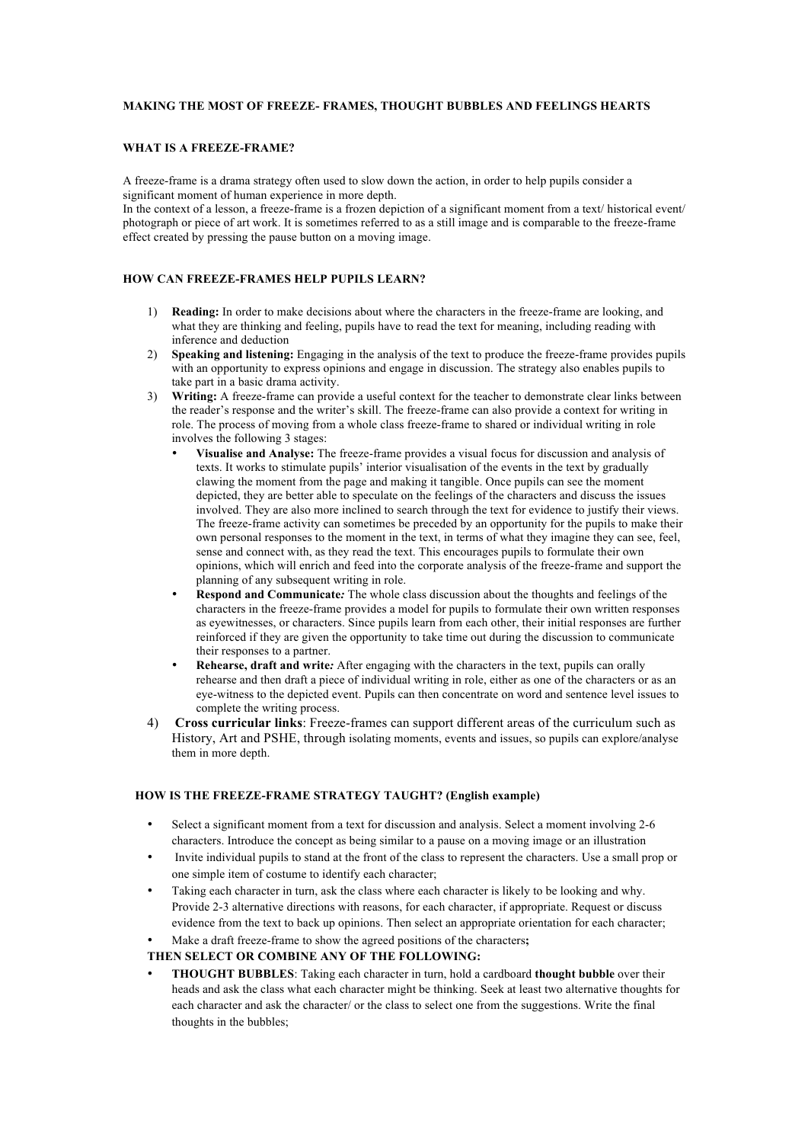## **MAKING THE MOST OF FREEZE- FRAMES, THOUGHT BUBBLES AND FEELINGS HEARTS**

#### **WHAT IS A FREEZE-FRAME?**

A freeze-frame is a drama strategy often used to slow down the action, in order to help pupils consider a significant moment of human experience in more depth.

In the context of a lesson, a freeze-frame is a frozen depiction of a significant moment from a text/ historical event/ photograph or piece of art work. It is sometimes referred to as a still image and is comparable to the freeze-frame effect created by pressing the pause button on a moving image.

## **HOW CAN FREEZE-FRAMES HELP PUPILS LEARN?**

- 1) **Reading:** In order to make decisions about where the characters in the freeze-frame are looking, and what they are thinking and feeling, pupils have to read the text for meaning, including reading with inference and deduction
- 2) **Speaking and listening:** Engaging in the analysis of the text to produce the freeze-frame provides pupils with an opportunity to express opinions and engage in discussion. The strategy also enables pupils to take part in a basic drama activity.
- 3) **Writing:** A freeze-frame can provide a useful context for the teacher to demonstrate clear links between the reader's response and the writer's skill. The freeze-frame can also provide a context for writing in role. The process of moving from a whole class freeze-frame to shared or individual writing in role involves the following 3 stages:
	- **Visualise and Analyse:** The freeze-frame provides a visual focus for discussion and analysis of texts. It works to stimulate pupils' interior visualisation of the events in the text by gradually clawing the moment from the page and making it tangible. Once pupils can see the moment depicted, they are better able to speculate on the feelings of the characters and discuss the issues involved. They are also more inclined to search through the text for evidence to justify their views. The freeze-frame activity can sometimes be preceded by an opportunity for the pupils to make their own personal responses to the moment in the text, in terms of what they imagine they can see, feel, sense and connect with, as they read the text. This encourages pupils to formulate their own opinions, which will enrich and feed into the corporate analysis of the freeze-frame and support the planning of any subsequent writing in role.
	- **Respond and Communicate***:* The whole class discussion about the thoughts and feelings of the characters in the freeze-frame provides a model for pupils to formulate their own written responses as eyewitnesses, or characters. Since pupils learn from each other, their initial responses are further reinforced if they are given the opportunity to take time out during the discussion to communicate their responses to a partner.
	- **Rehearse, draft and write***:* After engaging with the characters in the text, pupils can orally rehearse and then draft a piece of individual writing in role, either as one of the characters or as an eye-witness to the depicted event. Pupils can then concentrate on word and sentence level issues to complete the writing process.
- 4) **Cross curricular links**: Freeze-frames can support different areas of the curriculum such as History, Art and PSHE, through isolating moments, events and issues, so pupils can explore/analyse them in more depth.

### **HOW IS THE FREEZE-FRAME STRATEGY TAUGHT? (English example)**

- Select a significant moment from a text for discussion and analysis. Select a moment involving 2-6 characters. Introduce the concept as being similar to a pause on a moving image or an illustration
- Invite individual pupils to stand at the front of the class to represent the characters. Use a small prop or one simple item of costume to identify each character;
- Taking each character in turn, ask the class where each character is likely to be looking and why. Provide 2-3 alternative directions with reasons, for each character, if appropriate. Request or discuss evidence from the text to back up opinions. Then select an appropriate orientation for each character;
- Make a draft freeze-frame to show the agreed positions of the characters**;**

## **THEN SELECT OR COMBINE ANY OF THE FOLLOWING:**

• **THOUGHT BUBBLES**: Taking each character in turn, hold a cardboard **thought bubble** over their heads and ask the class what each character might be thinking. Seek at least two alternative thoughts for each character and ask the character/ or the class to select one from the suggestions. Write the final thoughts in the bubbles;